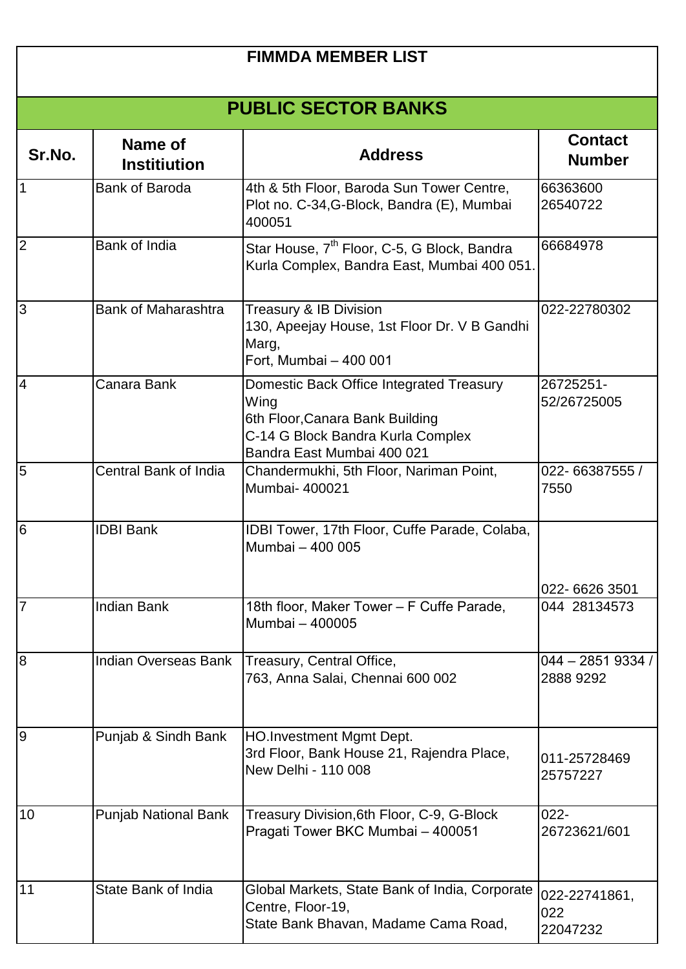| <b>FIMMDA MEMBER LIST</b> |                                |                                                                                                                                                        |                                  |  |  |
|---------------------------|--------------------------------|--------------------------------------------------------------------------------------------------------------------------------------------------------|----------------------------------|--|--|
|                           | <b>PUBLIC SECTOR BANKS</b>     |                                                                                                                                                        |                                  |  |  |
| Sr.No.                    | Name of<br><b>Institiution</b> | <b>Address</b>                                                                                                                                         | <b>Contact</b><br><b>Number</b>  |  |  |
| 1                         | <b>Bank of Baroda</b>          | 4th & 5th Floor, Baroda Sun Tower Centre,<br>Plot no. C-34, G-Block, Bandra (E), Mumbai<br>400051                                                      | 66363600<br>26540722             |  |  |
| $\overline{2}$            | Bank of India                  | Star House, 7 <sup>th</sup> Floor, C-5, G Block, Bandra<br>Kurla Complex, Bandra East, Mumbai 400 051.                                                 | 66684978                         |  |  |
| 3                         | <b>Bank of Maharashtra</b>     | <b>Treasury &amp; IB Division</b><br>130, Apeejay House, 1st Floor Dr. V B Gandhi<br>Marg,<br>Fort, Mumbai - 400 001                                   | 022-22780302                     |  |  |
| $\overline{4}$            | Canara Bank                    | Domestic Back Office Integrated Treasury<br>Wing<br>6th Floor, Canara Bank Building<br>C-14 G Block Bandra Kurla Complex<br>Bandra East Mumbai 400 021 | 26725251-<br>52/26725005         |  |  |
| 5                         | Central Bank of India          | Chandermukhi, 5th Floor, Nariman Point,<br>Mumbai- 400021                                                                                              | 022-66387555 /<br>7550           |  |  |
| 6                         | <b>IDBI Bank</b>               | IDBI Tower, 17th Floor, Cuffe Parade, Colaba,<br>Mumbai - 400 005                                                                                      |                                  |  |  |
|                           |                                |                                                                                                                                                        | 022-6626 3501                    |  |  |
| $\overline{7}$            | <b>Indian Bank</b>             | 18th floor, Maker Tower - F Cuffe Parade,<br>Mumbai - 400005                                                                                           | 044 28134573                     |  |  |
| $\overline{8}$            | <b>Indian Overseas Bank</b>    | Treasury, Central Office,<br>763, Anna Salai, Chennai 600 002                                                                                          | $044 - 28519334/$<br>2888 9292   |  |  |
| l9                        | Punjab & Sindh Bank            | <b>HO.Investment Mgmt Dept.</b><br>3rd Floor, Bank House 21, Rajendra Place,<br>New Delhi - 110 008                                                    | 011-25728469<br>25757227         |  |  |
| 10                        | <b>Punjab National Bank</b>    | Treasury Division, 6th Floor, C-9, G-Block<br>Pragati Tower BKC Mumbai - 400051                                                                        | $022 -$<br>26723621/601          |  |  |
| 11                        | State Bank of India            | Global Markets, State Bank of India, Corporate<br>Centre, Floor-19,<br>State Bank Bhavan, Madame Cama Road,                                            | 022-22741861,<br>022<br>22047232 |  |  |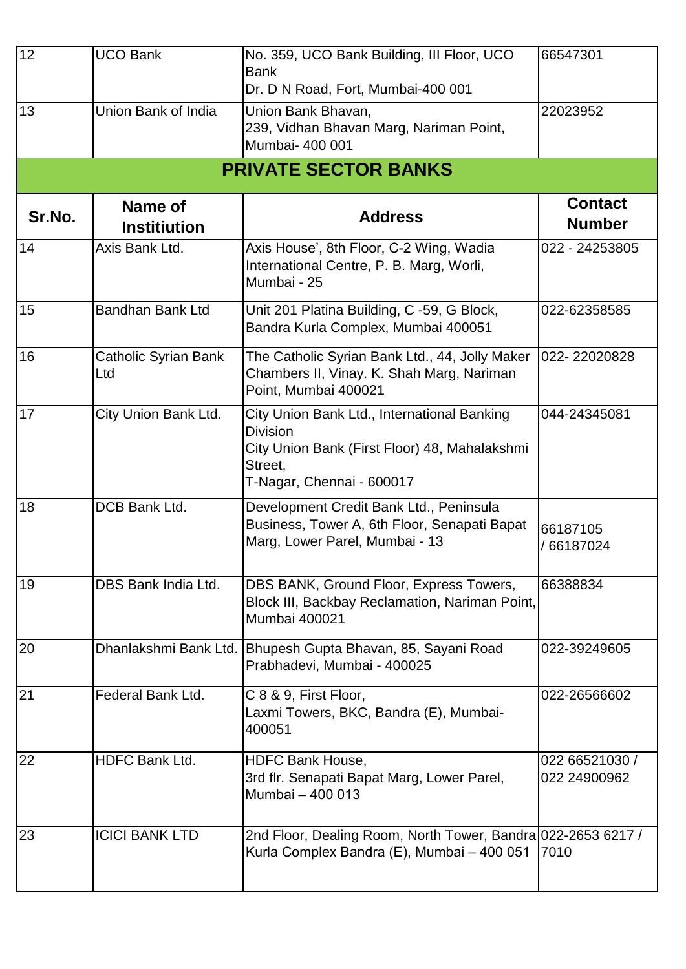| 12     | <b>UCO Bank</b>                       | No. 359, UCO Bank Building, III Floor, UCO<br><b>Bank</b><br>Dr. D N Road, Fort, Mumbai-400 001                                                         | 66547301                        |
|--------|---------------------------------------|---------------------------------------------------------------------------------------------------------------------------------------------------------|---------------------------------|
| 13     | Union Bank of India                   | Union Bank Bhavan,<br>239, Vidhan Bhavan Marg, Nariman Point,<br>Mumbai- 400 001                                                                        | 22023952                        |
|        |                                       | <b>PRIVATE SECTOR BANKS</b>                                                                                                                             |                                 |
| Sr.No. | <b>Name of</b><br><b>Institiution</b> | <b>Address</b>                                                                                                                                          | <b>Contact</b><br><b>Number</b> |
| 14     | Axis Bank Ltd.                        | Axis House', 8th Floor, C-2 Wing, Wadia<br>International Centre, P. B. Marg, Worli,<br>Mumbai - 25                                                      | 022 - 24253805                  |
| 15     | <b>Bandhan Bank Ltd</b>               | Unit 201 Platina Building, C -59, G Block,<br>Bandra Kurla Complex, Mumbai 400051                                                                       | 022-62358585                    |
| 16     | <b>Catholic Syrian Bank</b><br>Ltd    | The Catholic Syrian Bank Ltd., 44, Jolly Maker<br>Chambers II, Vinay. K. Shah Marg, Nariman<br>Point, Mumbai 400021                                     | 022-22020828                    |
| 17     | City Union Bank Ltd.                  | City Union Bank Ltd., International Banking<br><b>Division</b><br>City Union Bank (First Floor) 48, Mahalakshmi<br>Street,<br>T-Nagar, Chennai - 600017 | 044-24345081                    |
| 18     | DCB Bank Ltd.                         | Development Credit Bank Ltd., Peninsula<br>Business, Tower A, 6th Floor, Senapati Bapat<br>Marg, Lower Parel, Mumbai - 13                               | 66187105<br>/ 66187024          |
| 19     | DBS Bank India Ltd.                   | DBS BANK, Ground Floor, Express Towers,<br>Block III, Backbay Reclamation, Nariman Point,<br><b>Mumbai 400021</b>                                       | 66388834                        |
| 20     | Dhanlakshmi Bank Ltd.                 | Bhupesh Gupta Bhavan, 85, Sayani Road<br>Prabhadevi, Mumbai - 400025                                                                                    | 022-39249605                    |
| 21     | Federal Bank Ltd.                     | C 8 & 9, First Floor,<br>Laxmi Towers, BKC, Bandra (E), Mumbai-<br>400051                                                                               | 022-26566602                    |
| 22     | HDFC Bank Ltd.                        | <b>HDFC Bank House,</b><br>3rd flr. Senapati Bapat Marg, Lower Parel,<br>Mumbai - 400 013                                                               | 022 66521030 /<br>022 24900962  |
| 23     | <b>ICICI BANK LTD</b>                 | 2nd Floor, Dealing Room, North Tower, Bandra 022-2653 6217 /<br>Kurla Complex Bandra (E), Mumbai - 400 051                                              | 7010                            |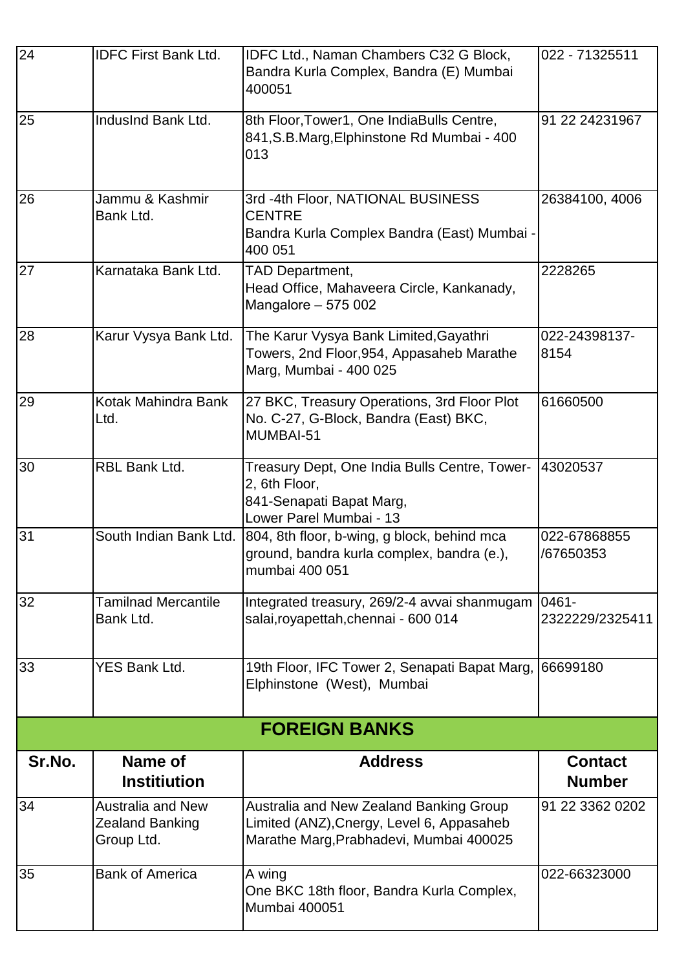| 24     | <b>IDFC First Bank Ltd.</b>                                      | IDFC Ltd., Naman Chambers C32 G Block,<br>Bandra Kurla Complex, Bandra (E) Mumbai<br>400051                                     | 022 - 71325511                  |
|--------|------------------------------------------------------------------|---------------------------------------------------------------------------------------------------------------------------------|---------------------------------|
| 25     | IndusInd Bank Ltd.                                               | 8th Floor, Tower1, One IndiaBulls Centre,<br>841, S.B. Marg, Elphinstone Rd Mumbai - 400<br>013                                 | 91 22 24231967                  |
| 26     | Jammu & Kashmir<br>Bank Ltd.                                     | 3rd -4th Floor, NATIONAL BUSINESS<br><b>CENTRE</b><br>Bandra Kurla Complex Bandra (East) Mumbai -<br>400 051                    | 26384100, 4006                  |
| 27     | Karnataka Bank Ltd.                                              | TAD Department,<br>Head Office, Mahaveera Circle, Kankanady,<br>Mangalore - 575 002                                             | 2228265                         |
| 28     | Karur Vysya Bank Ltd.                                            | The Karur Vysya Bank Limited, Gayathri<br>Towers, 2nd Floor, 954, Appasaheb Marathe<br>Marg, Mumbai - 400 025                   | 022-24398137-<br>8154           |
| 29     | Kotak Mahindra Bank<br>Ltd.                                      | 27 BKC, Treasury Operations, 3rd Floor Plot<br>No. C-27, G-Block, Bandra (East) BKC,<br>MUMBAI-51                               | 61660500                        |
| 30     | RBL Bank Ltd.                                                    | Treasury Dept, One India Bulls Centre, Tower-<br>2, 6th Floor,<br>841-Senapati Bapat Marg,<br>Lower Parel Mumbai - 13           | 43020537                        |
| 31     | South Indian Bank Ltd.                                           | 804, 8th floor, b-wing, g block, behind mca<br>ground, bandra kurla complex, bandra (e.),<br>mumbai 400 051                     | 022-67868855<br>/67650353       |
| 32     | <b>Tamilnad Mercantile</b><br>Bank Ltd.                          | Integrated treasury, 269/2-4 avvai shanmugam<br>salai, royapettah, chennai - 600 014                                            | 0461-<br>2322229/2325411        |
| 33     | YES Bank Ltd.                                                    | 19th Floor, IFC Tower 2, Senapati Bapat Marg,<br>Elphinstone (West), Mumbai                                                     | 66699180                        |
|        |                                                                  | <b>FOREIGN BANKS</b>                                                                                                            |                                 |
| Sr.No. | Name of<br><b>Institiution</b>                                   | <b>Address</b>                                                                                                                  | <b>Contact</b><br><b>Number</b> |
| 34     | <b>Australia and New</b><br><b>Zealand Banking</b><br>Group Ltd. | Australia and New Zealand Banking Group<br>Limited (ANZ), Cnergy, Level 6, Appasaheb<br>Marathe Marg, Prabhadevi, Mumbai 400025 | 91 22 3362 0202                 |
| 35     | <b>Bank of America</b>                                           | A wing<br>One BKC 18th floor, Bandra Kurla Complex,<br>Mumbai 400051                                                            | 022-66323000                    |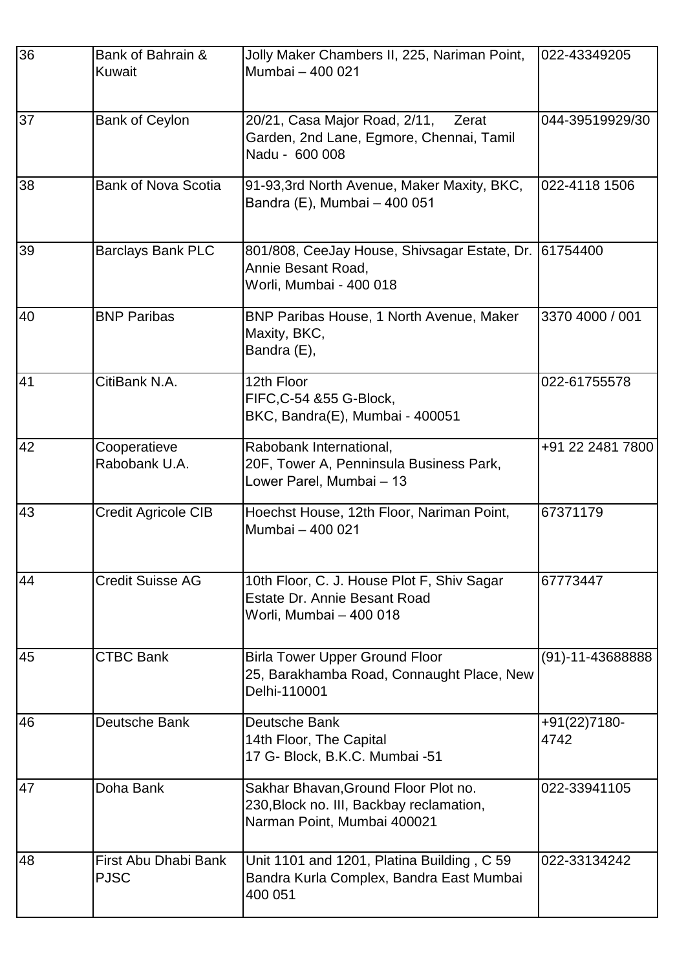| 36 | Bank of Bahrain &<br>Kuwait         | Jolly Maker Chambers II, 225, Nariman Point,<br>Mumbai - 400 021                                                | 022-43349205         |
|----|-------------------------------------|-----------------------------------------------------------------------------------------------------------------|----------------------|
| 37 | <b>Bank of Ceylon</b>               | 20/21, Casa Major Road, 2/11,<br>Zerat<br>Garden, 2nd Lane, Egmore, Chennai, Tamil<br>Nadu - 600 008            | 044-39519929/30      |
| 38 | <b>Bank of Nova Scotia</b>          | 91-93, 3rd North Avenue, Maker Maxity, BKC,<br>Bandra (E), Mumbai - 400 051                                     | 022-4118 1506        |
| 39 | <b>Barclays Bank PLC</b>            | 801/808, CeeJay House, Shivsagar Estate, Dr.<br>Annie Besant Road,<br>Worli, Mumbai - 400 018                   | 61754400             |
| 40 | <b>BNP Paribas</b>                  | BNP Paribas House, 1 North Avenue, Maker<br>Maxity, BKC,<br>Bandra (E),                                         | 3370 4000 / 001      |
| 41 | CitiBank N.A.                       | 12th Floor<br>FIFC, C-54 & 55 G-Block,<br>BKC, Bandra(E), Mumbai - 400051                                       | 022-61755578         |
| 42 | Cooperatieve<br>Rabobank U.A.       | Rabobank International,<br>20F, Tower A, Penninsula Business Park,<br>Lower Parel, Mumbai - 13                  | +91 22 2481 7800     |
| 43 | Credit Agricole CIB                 | Hoechst House, 12th Floor, Nariman Point,<br>Mumbai - 400 021                                                   | 67371179             |
| 44 | <b>Credit Suisse AG</b>             | 10th Floor, C. J. House Plot F, Shiv Sagar<br><b>Estate Dr. Annie Besant Road</b><br>Worli, Mumbai – 400 018    | 67773447             |
| 45 | <b>CTBC Bank</b>                    | <b>Birla Tower Upper Ground Floor</b><br>25, Barakhamba Road, Connaught Place, New<br>Delhi-110001              | $(91)-11-43688888$   |
| 46 | Deutsche Bank                       | Deutsche Bank<br>14th Floor, The Capital<br>17 G- Block, B.K.C. Mumbai -51                                      | +91(22)7180-<br>4742 |
| 47 | Doha Bank                           | Sakhar Bhavan, Ground Floor Plot no.<br>230, Block no. III, Backbay reclamation,<br>Narman Point, Mumbai 400021 | 022-33941105         |
| 48 | First Abu Dhabi Bank<br><b>PJSC</b> | Unit 1101 and 1201, Platina Building, C 59<br>Bandra Kurla Complex, Bandra East Mumbai<br>400 051               | 022-33134242         |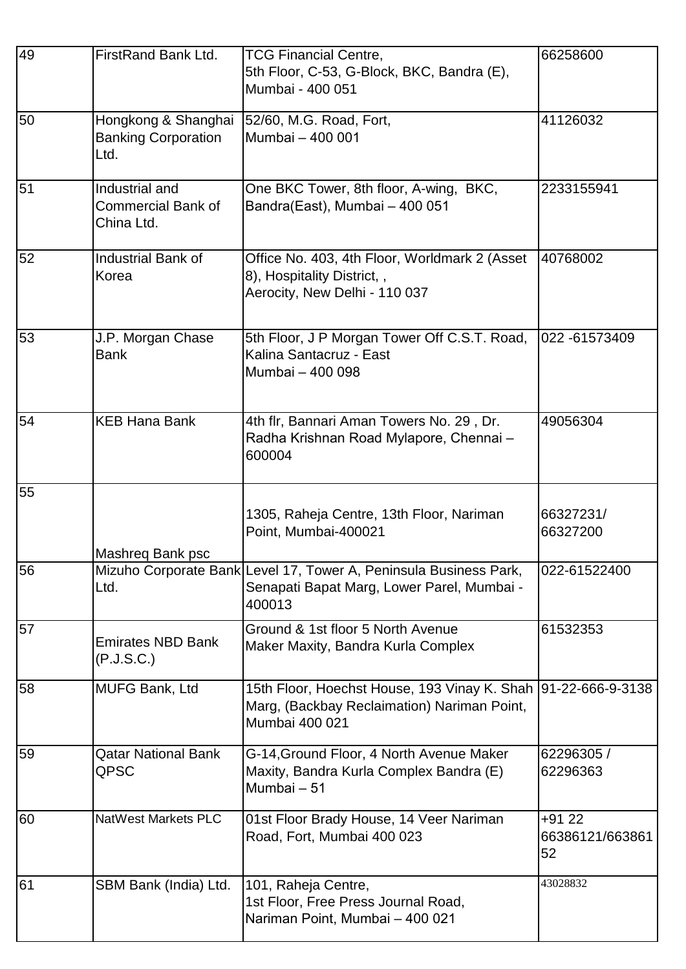| 49 | FirstRand Bank Ltd.                                       | <b>TCG Financial Centre,</b><br>5th Floor, C-53, G-Block, BKC, Bandra (E),<br>Mumbai - 400 051                                 | 66258600                         |
|----|-----------------------------------------------------------|--------------------------------------------------------------------------------------------------------------------------------|----------------------------------|
| 50 | Hongkong & Shanghai<br><b>Banking Corporation</b><br>Ltd. | 52/60, M.G. Road, Fort,<br>Mumbai - 400 001                                                                                    | 41126032                         |
| 51 | Industrial and<br><b>Commercial Bank of</b><br>China Ltd. | One BKC Tower, 8th floor, A-wing, BKC,<br>Bandra(East), Mumbai - 400 051                                                       | 2233155941                       |
| 52 | <b>Industrial Bank of</b><br>Korea                        | Office No. 403, 4th Floor, Worldmark 2 (Asset<br>8), Hospitality District,,<br>Aerocity, New Delhi - 110 037                   | 40768002                         |
| 53 | J.P. Morgan Chase<br><b>Bank</b>                          | 5th Floor, J P Morgan Tower Off C.S.T. Road,<br>Kalina Santacruz - East<br>Mumbai - 400 098                                    | 022 -61573409                    |
| 54 | <b>KEB Hana Bank</b>                                      | 4th flr, Bannari Aman Towers No. 29, Dr.<br>Radha Krishnan Road Mylapore, Chennai -<br>600004                                  | 49056304                         |
| 55 | Mashreq Bank psc                                          | 1305, Raheja Centre, 13th Floor, Nariman<br>Point, Mumbai-400021                                                               | 66327231/<br>66327200            |
| 56 | Ltd.                                                      | Mizuho Corporate Bank Level 17, Tower A, Peninsula Business Park,<br>Senapati Bapat Marg, Lower Parel, Mumbai -<br>400013      | 022-61522400                     |
| 57 | <b>Emirates NBD Bank</b><br>(P.J.S.C.)                    | Ground & 1st floor 5 North Avenue<br>Maker Maxity, Bandra Kurla Complex                                                        | 61532353                         |
| 58 | <b>MUFG Bank, Ltd</b>                                     | 15th Floor, Hoechst House, 193 Vinay K. Shah 91-22-666-9-3138<br>Marg, (Backbay Reclaimation) Nariman Point,<br>Mumbai 400 021 |                                  |
| 59 | <b>Qatar National Bank</b><br>QPSC                        | G-14, Ground Floor, 4 North Avenue Maker<br>Maxity, Bandra Kurla Complex Bandra (E)<br>Mumbai - 51                             | 62296305 /<br>62296363           |
| 60 | NatWest Markets PLC                                       | 01st Floor Brady House, 14 Veer Nariman<br>Road, Fort, Mumbai 400 023                                                          | $+9122$<br>66386121/663861<br>52 |
| 61 | SBM Bank (India) Ltd.                                     | 101, Raheja Centre,<br>1st Floor, Free Press Journal Road,<br>Nariman Point, Mumbai - 400 021                                  | 43028832                         |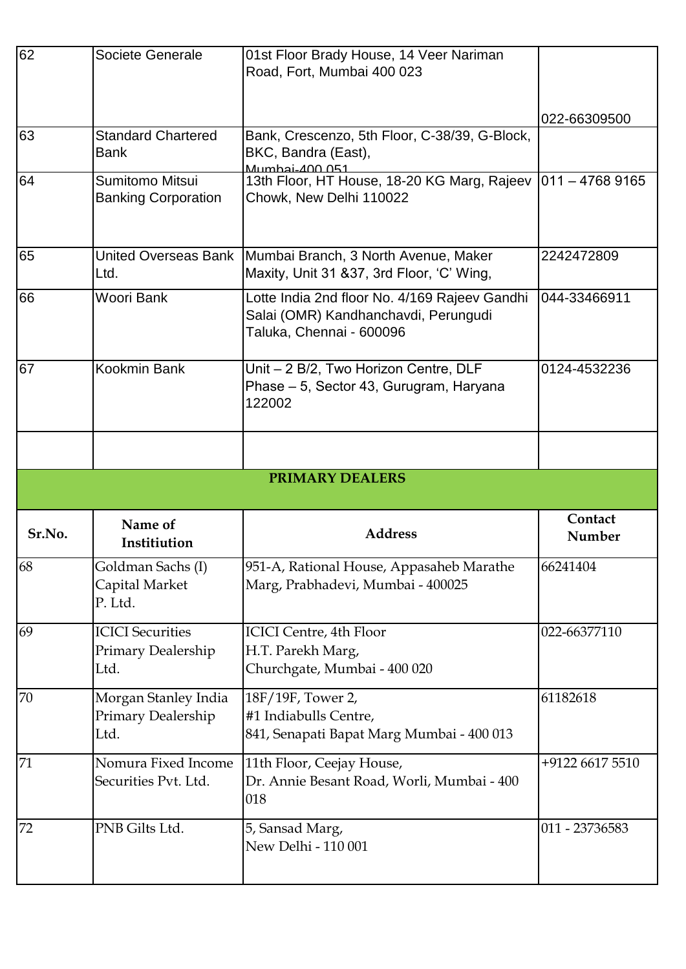| 62       | Societe Generale                                      | 01st Floor Brady House, 14 Veer Nariman<br>Road, Fort, Mumbai 400 023                                             |                   |
|----------|-------------------------------------------------------|-------------------------------------------------------------------------------------------------------------------|-------------------|
|          |                                                       |                                                                                                                   | 022-66309500      |
| 63       | <b>Standard Chartered</b><br><b>Bank</b>              | Bank, Crescenzo, 5th Floor, C-38/39, G-Block,<br>BKC, Bandra (East),<br>Mumbai-400.051                            |                   |
| 64       | Sumitomo Mitsui<br><b>Banking Corporation</b>         | 13th Floor, HT House, 18-20 KG Marg, Rajeev<br>Chowk, New Delhi 110022                                            | $1011 - 47689165$ |
| 65       | <b>United Overseas Bank</b><br>Ltd.                   | Mumbai Branch, 3 North Avenue, Maker<br>Maxity, Unit 31 & 37, 3rd Floor, 'C' Wing,                                | 2242472809        |
| 66       | Woori Bank                                            | Lotte India 2nd floor No. 4/169 Rajeev Gandhi<br>Salai (OMR) Kandhanchavdi, Perungudi<br>Taluka, Chennai - 600096 | 044-33466911      |
| 67       | Kookmin Bank                                          | Unit - 2 B/2, Two Horizon Centre, DLF<br>Phase - 5, Sector 43, Gurugram, Haryana<br>122002                        | 0124-4532236      |
|          |                                                       |                                                                                                                   |                   |
|          |                                                       |                                                                                                                   |                   |
|          |                                                       | <b>PRIMARY DEALERS</b>                                                                                            |                   |
| Sr.No.   | Name of<br>Institiution                               | <b>Address</b>                                                                                                    | Contact<br>Number |
| 68       | Goldman Sachs (I)<br>Capital Market<br>P. Ltd.        | 951-A, Rational House, Appasaheb Marathe<br>Marg, Prabhadevi, Mumbai - 400025                                     | 66241404          |
| 69       | <b>ICICI</b> Securities<br>Primary Dealership<br>Ltd. | <b>ICICI Centre, 4th Floor</b><br>H.T. Parekh Marg,<br>Churchgate, Mumbai - 400 020                               | 022-66377110      |
|          | Morgan Stanley India<br>Primary Dealership<br>Ltd.    | 18F/19F, Tower 2,<br>#1 Indiabulls Centre,<br>841, Senapati Bapat Marg Mumbai - 400 013                           | 61182618          |
| 70<br>71 | Nomura Fixed Income<br>Securities Pvt. Ltd.           | 11th Floor, Ceejay House,<br>Dr. Annie Besant Road, Worli, Mumbai - 400<br>018                                    | +9122 6617 5510   |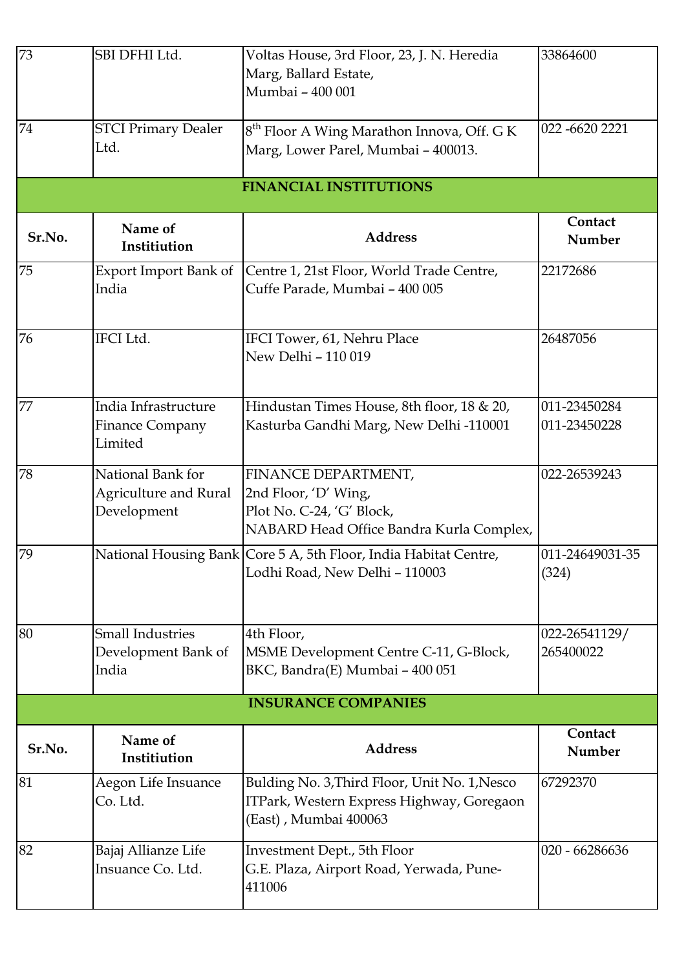| 73     | SBI DFHI Ltd.                                                    | Voltas House, 3rd Floor, 23, J. N. Heredia<br>Marg, Ballard Estate,<br>Mumbai - 400 001                              | 33864600                     |
|--------|------------------------------------------------------------------|----------------------------------------------------------------------------------------------------------------------|------------------------------|
| 74     | <b>STCI Primary Dealer</b><br>Ltd.                               | 8 <sup>th</sup> Floor A Wing Marathon Innova, Off. G K<br>Marg, Lower Parel, Mumbai - 400013.                        | 022-6620 2221                |
|        |                                                                  | <b>FINANCIAL INSTITUTIONS</b>                                                                                        |                              |
| Sr.No. | Name of<br>Institiution                                          | <b>Address</b>                                                                                                       | Contact<br>Number            |
| 75     | Export Import Bank of<br>India                                   | Centre 1, 21st Floor, World Trade Centre,<br>Cuffe Parade, Mumbai - 400 005                                          | 22172686                     |
| 76     | <b>IFCI</b> Ltd.                                                 | IFCI Tower, 61, Nehru Place<br>New Delhi - 110 019                                                                   | 26487056                     |
| 77     | India Infrastructure<br>Finance Company<br>Limited               | Hindustan Times House, 8th floor, 18 & 20,<br>Kasturba Gandhi Marg, New Delhi -110001                                | 011-23450284<br>011-23450228 |
| 78     | National Bank for<br><b>Agriculture and Rural</b><br>Development | FINANCE DEPARTMENT,<br>2nd Floor, 'D' Wing,<br>Plot No. C-24, 'G' Block,<br>NABARD Head Office Bandra Kurla Complex, | 022-26539243                 |
| 79     |                                                                  | National Housing Bank Core 5 A, 5th Floor, India Habitat Centre,<br>Lodhi Road, New Delhi - 110003                   | 011-24649031-35<br>(324)     |
| 80     | <b>Small Industries</b><br>Development Bank of<br>India          | 4th Floor,<br>MSME Development Centre C-11, G-Block,<br>BKC, Bandra(E) Mumbai - 400 051                              | 022-26541129/<br>265400022   |
|        |                                                                  | <b>INSURANCE COMPANIES</b>                                                                                           |                              |
| Sr.No. | Name of<br>Institiution                                          | <b>Address</b>                                                                                                       | Contact<br>Number            |
| 81     | Aegon Life Insuance<br>Co. Ltd.                                  | Bulding No. 3, Third Floor, Unit No. 1, Nesco<br>ITPark, Western Express Highway, Goregaon<br>(East), Mumbai 400063  | 67292370                     |
| 82     | Bajaj Allianze Life<br>Insuance Co. Ltd.                         | Investment Dept., 5th Floor<br>G.E. Plaza, Airport Road, Yerwada, Pune-<br>411006                                    | 020 - 66286636               |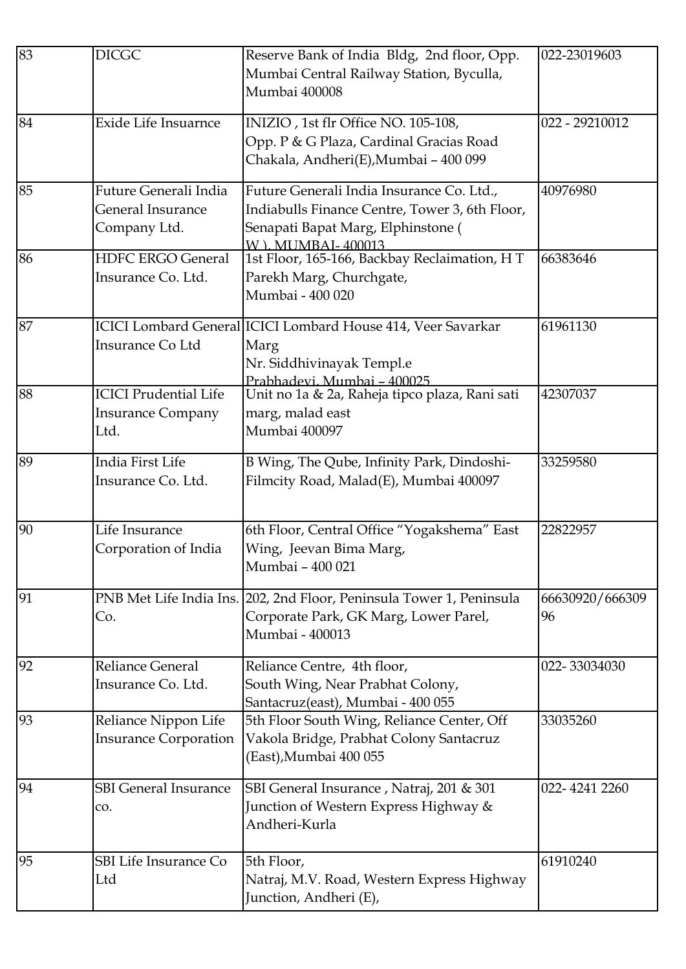| 83 | <b>DICGC</b>                 | Reserve Bank of India Bldg, 2nd floor, Opp.                  | 022-23019603    |
|----|------------------------------|--------------------------------------------------------------|-----------------|
|    |                              | Mumbai Central Railway Station, Byculla,                     |                 |
|    |                              | Mumbai 400008                                                |                 |
| 84 | <b>Exide Life Insuarnce</b>  | INIZIO, 1st flr Office NO. 105-108,                          | 022 - 29210012  |
|    |                              | Opp. P & G Plaza, Cardinal Gracias Road                      |                 |
|    |                              | Chakala, Andheri(E), Mumbai - 400 099                        |                 |
|    |                              |                                                              |                 |
| 85 | Future Generali India        | Future Generali India Insurance Co. Ltd.,                    | 40976980        |
|    | <b>General Insurance</b>     | Indiabulls Finance Centre, Tower 3, 6th Floor,               |                 |
|    | Company Ltd.                 | Senapati Bapat Marg, Elphinstone (                           |                 |
|    |                              | W. L. MUMBAI-400013                                          |                 |
| 86 | <b>HDFC ERGO General</b>     | 1st Floor, 165-166, Backbay Reclaimation, HT                 | 66383646        |
|    | Insurance Co. Ltd.           | Parekh Marg, Churchgate,                                     |                 |
|    |                              | Mumbai - 400 020                                             |                 |
| 87 |                              | ICICI Lombard General ICICI Lombard House 414, Veer Savarkar | 61961130        |
|    | Insurance Co Ltd             | Marg                                                         |                 |
|    |                              | Nr. Siddhivinayak Templ.e                                    |                 |
|    |                              | Prabhadevi, Mumbai - 400025                                  |                 |
| 88 | <b>ICICI Prudential Life</b> | Unit no 1a & 2a, Raheja tipco plaza, Rani sati               | 42307037        |
|    | <b>Insurance Company</b>     | marg, malad east                                             |                 |
|    | Ltd.                         | Mumbai 400097                                                |                 |
| 89 | India First Life             | B Wing, The Qube, Infinity Park, Dindoshi-                   | 33259580        |
|    | Insurance Co. Ltd.           | Filmcity Road, Malad(E), Mumbai 400097                       |                 |
|    |                              |                                                              |                 |
|    |                              |                                                              |                 |
| 90 | Life Insurance               | 6th Floor, Central Office "Yogakshema" East                  | 22822957        |
|    | Corporation of India         | Wing, Jeevan Bima Marg,                                      |                 |
|    |                              | Mumbai - 400 021                                             |                 |
| 91 | PNB Met Life India Ins.      | 202, 2nd Floor, Peninsula Tower 1, Peninsula                 | 66630920/666309 |
|    | Co.                          | Corporate Park, GK Marg, Lower Parel,                        | 96              |
|    |                              | Mumbai - 400013                                              |                 |
| 92 | <b>Reliance General</b>      | Reliance Centre, 4th floor,                                  | 022-33034030    |
|    | Insurance Co. Ltd.           | South Wing, Near Prabhat Colony,                             |                 |
|    |                              | Santacruz(east), Mumbai - 400 055                            |                 |
| 93 | Reliance Nippon Life         | 5th Floor South Wing, Reliance Center, Off                   | 33035260        |
|    | <b>Insurance Corporation</b> | Vakola Bridge, Prabhat Colony Santacruz                      |                 |
|    |                              | (East), Mumbai 400 055                                       |                 |
|    |                              |                                                              |                 |
| 94 | <b>SBI</b> General Insurance | SBI General Insurance, Natraj, 201 & 301                     | 022-4241 2260   |
|    | CO.                          | Junction of Western Express Highway &                        |                 |
|    |                              | Andheri-Kurla                                                |                 |
|    |                              |                                                              |                 |
| 95 | <b>SBI Life Insurance Co</b> | 5th Floor,                                                   | 61910240        |
|    | Ltd                          | Natraj, M.V. Road, Western Express Highway                   |                 |
|    |                              | Junction, Andheri (E),                                       |                 |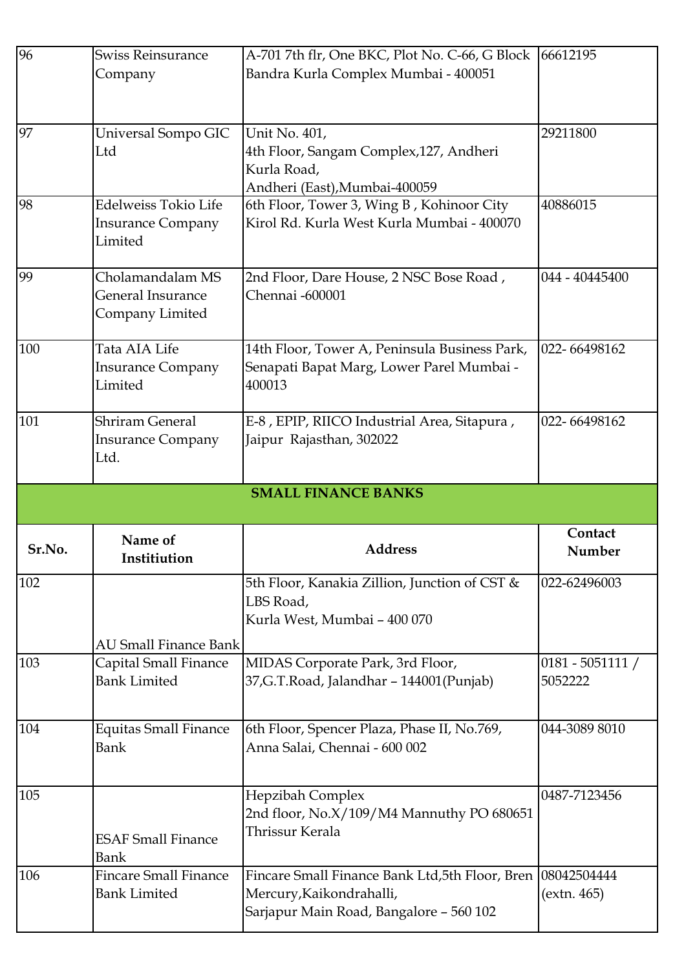| 96     | <b>Swiss Reinsurance</b>             | A-701 7th flr, One BKC, Plot No. C-66, G Block                                             | 66612195           |
|--------|--------------------------------------|--------------------------------------------------------------------------------------------|--------------------|
|        | Company                              | Bandra Kurla Complex Mumbai - 400051                                                       |                    |
|        |                                      |                                                                                            |                    |
|        |                                      |                                                                                            |                    |
| 97     | Universal Sompo GIC                  | Unit No. 401,                                                                              | 29211800           |
|        | Ltd                                  | 4th Floor, Sangam Complex, 127, Andheri                                                    |                    |
|        |                                      | Kurla Road,                                                                                |                    |
| 98     | <b>Edelweiss Tokio Life</b>          | Andheri (East), Mumbai-400059<br>6th Floor, Tower 3, Wing B, Kohinoor City                 | 40886015           |
|        | <b>Insurance Company</b>             | Kirol Rd. Kurla West Kurla Mumbai - 400070                                                 |                    |
|        | Limited                              |                                                                                            |                    |
|        |                                      |                                                                                            |                    |
| 99     | Cholamandalam MS                     | 2nd Floor, Dare House, 2 NSC Bose Road,                                                    | 044 - 40445400     |
|        | <b>General Insurance</b>             | Chennai -600001                                                                            |                    |
|        | Company Limited                      |                                                                                            |                    |
|        | Tata AIA Life                        |                                                                                            | 022-66498162       |
| 100    | <b>Insurance Company</b>             | 14th Floor, Tower A, Peninsula Business Park,<br>Senapati Bapat Marg, Lower Parel Mumbai - |                    |
|        | Limited                              | 400013                                                                                     |                    |
|        |                                      |                                                                                            |                    |
| 101    | <b>Shriram General</b>               | E-8, EPIP, RIICO Industrial Area, Sitapura,                                                | 022-66498162       |
|        | <b>Insurance Company</b>             | Jaipur Rajasthan, 302022                                                                   |                    |
|        | Ltd.                                 |                                                                                            |                    |
|        |                                      |                                                                                            |                    |
|        |                                      |                                                                                            |                    |
|        |                                      | <b>SMALL FINANCE BANKS</b>                                                                 |                    |
|        | Name of                              |                                                                                            | Contact            |
| Sr.No. | <b>Institiution</b>                  | <b>Address</b>                                                                             | Number             |
| 102    |                                      | 5th Floor, Kanakia Zillion, Junction of CST &                                              | 022-62496003       |
|        |                                      | LBS Road,                                                                                  |                    |
|        |                                      | Kurla West, Mumbai - 400 070                                                               |                    |
|        | <b>AU Small Finance Bank</b>         |                                                                                            |                    |
| 103    | Capital Small Finance                | MIDAS Corporate Park, 3rd Floor,                                                           | $0181 - 5051111 /$ |
|        | <b>Bank Limited</b>                  | 37, G.T. Road, Jalandhar - 144001 (Punjab)                                                 | 5052222            |
|        |                                      |                                                                                            |                    |
|        |                                      |                                                                                            |                    |
| 104    | <b>Equitas Small Finance</b><br>Bank | 6th Floor, Spencer Plaza, Phase II, No.769,<br>Anna Salai, Chennai - 600 002               | 044-3089 8010      |
|        |                                      |                                                                                            |                    |
|        |                                      |                                                                                            |                    |
| 105    |                                      | Hepzibah Complex                                                                           | 0487-7123456       |
|        |                                      | 2nd floor, No.X/109/M4 Mannuthy PO 680651                                                  |                    |
|        | <b>ESAF Small Finance</b>            | Thrissur Kerala                                                                            |                    |
|        | Bank                                 |                                                                                            |                    |
| 106    | <b>Fincare Small Finance</b>         | Fincare Small Finance Bank Ltd, 5th Floor, Bren                                            | 08042504444        |
|        | <b>Bank Limited</b>                  | Mercury, Kaikondrahalli,<br>Sarjapur Main Road, Bangalore - 560 102                        | (extn. 465)        |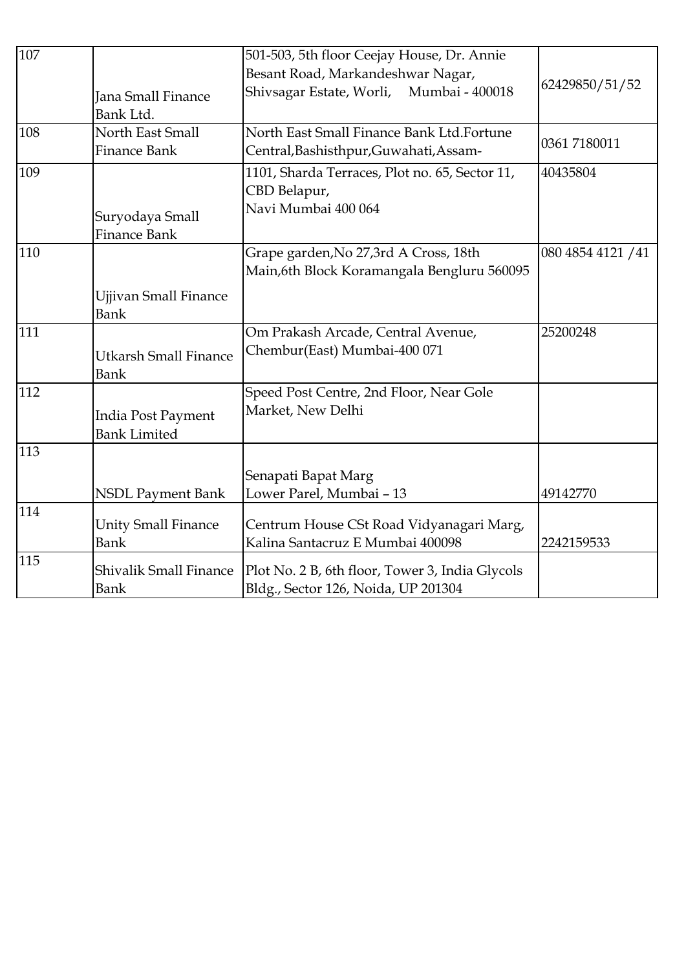| 107 |                               | 501-503, 5th floor Ceejay House, Dr. Annie      |                    |
|-----|-------------------------------|-------------------------------------------------|--------------------|
|     |                               | Besant Road, Markandeshwar Nagar,               |                    |
|     | <b>Jana Small Finance</b>     | Shivsagar Estate, Worli,<br>Mumbai - 400018     | 62429850/51/52     |
|     | Bank Ltd.                     |                                                 |                    |
| 108 | North East Small              | North East Small Finance Bank Ltd.Fortune       |                    |
|     | <b>Finance Bank</b>           | Central, Bashisthpur, Guwahati, Assam-          | 0361 7180011       |
| 109 |                               | 1101, Sharda Terraces, Plot no. 65, Sector 11,  | 40435804           |
|     |                               | CBD Belapur,                                    |                    |
|     | Suryodaya Small               | Navi Mumbai 400 064                             |                    |
|     | <b>Finance Bank</b>           |                                                 |                    |
| 110 |                               | Grape garden, No 27, 3rd A Cross, 18th          | 080 4854 4121 / 41 |
|     |                               | Main, 6th Block Koramangala Bengluru 560095     |                    |
|     | <b>Ujjivan Small Finance</b>  |                                                 |                    |
|     | Bank                          |                                                 |                    |
| 111 |                               | Om Prakash Arcade, Central Avenue,              | 25200248           |
|     | <b>Utkarsh Small Finance</b>  | Chembur(East) Mumbai-400 071                    |                    |
|     | <b>Bank</b>                   |                                                 |                    |
| 112 |                               | Speed Post Centre, 2nd Floor, Near Gole         |                    |
|     | India Post Payment            | Market, New Delhi                               |                    |
|     | <b>Bank Limited</b>           |                                                 |                    |
| 113 |                               |                                                 |                    |
|     |                               | Senapati Bapat Marg                             |                    |
|     | <b>NSDL Payment Bank</b>      | Lower Parel, Mumbai - 13                        | 49142770           |
| 114 |                               |                                                 |                    |
|     | <b>Unity Small Finance</b>    | Centrum House CSt Road Vidyanagari Marg,        |                    |
|     | Bank                          | Kalina Santacruz E Mumbai 400098                | 2242159533         |
| 115 | <b>Shivalik Small Finance</b> | Plot No. 2 B, 6th floor, Tower 3, India Glycols |                    |
|     | Bank                          | Bldg., Sector 126, Noida, UP 201304             |                    |